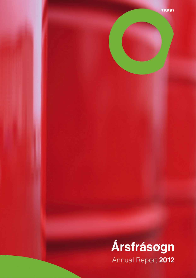

magn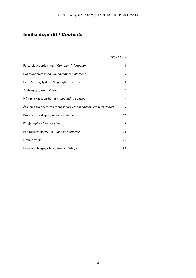# Innihaldsyvirlit / *Contents*

|                                                                  | Síða / Page |
|------------------------------------------------------------------|-------------|
| Partafelagsupplýsingar / Company information                     | 4           |
| Roknskaparátekning / Management statement                        | 5           |
| Høvuðstøl og lyklatøl / Highlights and ratios                    | 6           |
| Ársfrásøgn / Annual report                                       | 7           |
| Nýttur roknskaparháttur / Accounting policies                    | 11          |
| Atekning frá óheftum grannskoðara / Independent Auditor's Report | 15          |
| Rakstrarroknskapur / Income statement                            | 17          |
| Fíggjarstøða / Balance sheet                                     | 18          |
| Peningastreymsyvirlit / Cash flow analysis                       | 20          |
| Notur / Notes                                                    | 21          |
| Leiðslan í Magn / Management of Magn                             | 26          |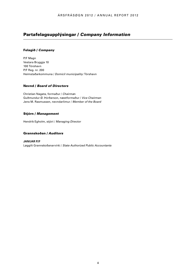# Partafelagsupplýsingar / *Company Information*

## Felagið / *Company*

P/F Magn Vestara Bryggja 10 100 Tórshavn P/F Reg. nr. 200 Heimstaðarkommuna / *Domicil municipality:* Tórshavn

## Nevnd / *Board of Directors*

Christian Nagata, formaður / *Chairma*n Guðmundur Ø. Þórðarson, næstformaður / *Vice Chairman*  Jens M. Rasmussen, nevndarlimur / *Member of the Board*

## Stjórn / *Management*

Hendrik Egholm, stjóri / *Managing Director*

## Grannskoðan / *Auditors*

**JANUAR P/F**  Løggilt Grannskoðanarvirki / *State Authorized Public Accountants*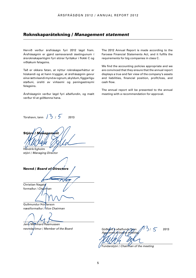# Roknskaparátekning / *Management statement*

Hervið verður ársfrásøgn fyri 2012 løgd fram. Ársfrásøgnin er gjørd samsvarandi ásetingunum í ársroknskaparlógini fyri stórar fyritøkur í flokki C og viðtøkum felagsins.

Tað er okkara fatan, at nýttur roknskaparháttur er hóskandi og at hann tryggjar, at ársfrásøgnin gevur eina rættvísandi mynd av ognum, skyldum, fíggjarligu støðuni, úrsliti av virksemi og peningastreymi felagsins.

Ársfrásøgnin verður løgd fyri aðalfundin, og mælt verður til at góðkenna hana.

The 2012 Annual Report is made according to the Faroese Financial Statements Act, and it fulfils the requirements for big companies in class C.

We find the accounting policies appropriate and we are convinced that they ensure that the annual report displays a true and fair view of the company's assets and liabilities, financial position, profit/loss, and cash flow.

The annual report will be presented to the annual meeting with a recommendation for approval.

Tórshavn, tann  $/3/5$  2013

Stiór

Hendrik Egholm stjóri / *Managing Director*

Nevnd / *Board of Directors* 

Christian Nagata formaður / *Chairman*

Guðmundur Þórðarson næstformaður / *Vice Chairman* 

Jens Memhard Rasmussen

nevndarlimur / *Member of the Board* Góðkent á aðalfundi, tann // 3/5 2013 *Approved at board meeting* 

Fundarstjóri / *Chairman of the meeting*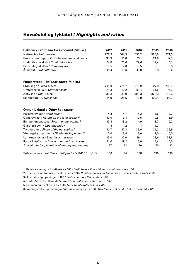# Høvuðstøl og lyklatøl / *Highlights and ratios*

| Rakstur / <i>Profit and loss account</i> (MIn kr.)                   | 2012  | 2011  | 2010  | 2009  | 2008  |
|----------------------------------------------------------------------|-------|-------|-------|-------|-------|
| Nettosøla / Net turnover                                             | 779,9 | 664,9 | 690,7 | 528,9 | 774,3 |
| Rakstrarvinningur / Profit before financial items                    | 33,9  | 31,0  | 29,1  | 24,0  | 17,9  |
| Úrslit áðrenn skatt / Profit before tax                              | 24,8  | 20,6  | 22,6  | 12,4  | 1,1   |
| Partafelagsskattur / Company tax                                     | 5,5   | 4,0   | 5,5   | 3,7   | 0,8   |
| Ársúrslit / Profit after tax                                         | 19,4  | 16,6  | 17,0  | 8,8   | 0,2   |
| Fíggjarstøða / Balance sheet (Mln kr.)                               |       |       |       |       |       |
| Støðisogn / Fixed assets                                             | 218,0 | 221,7 | 216,9 | 227,8 | 238,7 |
| Umferðarfæ í alt / Current assets                                    | 121,3 | 110,2 | 91,4  | 94,5  | 74,7  |
| Aktiv íalt / Total assets                                            | 339,3 | 331,9 | 308,3 | 322,3 | 313,4 |
| Eginpeningur / Net capital                                           | 144,9 | 125,5 | 113,9 | 100,4 | 93,7  |
| Onnur lyklatøl / Other key ratios                                    |       |       |       |       |       |
| Rakstraravkast / Profit ratio <sup>1)</sup>                          | 4,3   | 4,7   | 4,2   | 4,5   | 2,3   |
| Ognaravkast / Return on the total capital <sup>2)</sup>              | 10,0  | 9,4   | 10,5  | 7,5   | 5,9   |
| Eginpeningsavkast / Return on net capital <sup>3)</sup>              | 13,4  | 13,2  | 14,9  | 8,7   | 0,2   |
| Gialdførisevni / Liquidity ratio <sup>4)</sup>                       | 1,4   | 1,2   | 1,4   | 1,3   | 1,1   |
| Trygdarevni / Share of the net capital <sup>5)</sup>                 | 42,7  | 37,8  | 36,9  | 31,2  | 29,9  |
| Vinningsbýtisprosent / Dividends in percent <sup>6)</sup>            | 0,0   | 3,8   | 3,0   | 2,0   | 0,0   |
| Lønarútreiðslur / Salaries and wages                                 | 33,0  | 30,0  | 29,1  | 28,6  | 32,8  |
| Iløgur í støðisogn / Investment in fixed assets                      | 11,0  | 19,2  | 5,0   | 4,4   | 5,0   |
| Arsverk í miðal / Number of employees, average                       | 77    | 72    | 70    | 70    | 82    |
| Søla av oljuvørum/ Sales of oil products (1000 tons/m <sup>3</sup> ) | 100   | 94    | 138   | 130   | 138   |

1) Rakstrarvinningur / Nettosøla x 100 / *Profit before financial items / net turnover x 100* 

2) Úrslit eftir rentuinntøkur / aktiv í alt x 100 / *Profit before tax and financial expenses / Total assets x100* 

3) Ársúrslit / Eginpeningur x 100 / *Profit after tax / Net capital x 100* 

4) Umferðarfæ / stuttfreistaða skuld / *Current assets / short-term debt* 

5) Eginpeningur / aktiv í alt x 100 / *Net capital / Total assets x 100* 

6) Vinningsbýti / Eginpeningur áðrenn vinningsbýti x 100 / *Dividends / net capital before dividend x 100*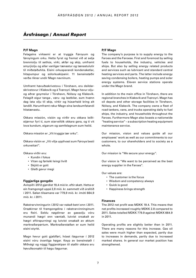#### **P/F Magn**

Felagsins virksemi er at tryggja Føroyum og føroyingum orku. Hetta fyrst og fremst við at selja brenniolju til sethús, virki, akfør og skip, umframt smyrjiolju og allar vanligar tænastur og tænastulutir til miðstøðuhita. Eisini orkusparandi kondensketlar, hitapumpur og sólorkuskipanir. 11 bensinstøðir verða riknar undir Magn navninum.

Umframt høvuðsskrivstovu í Tórshavn, eru deildarskrivstovur í Klaksvík og á Tvøroyri. Magn hevur oljuog aðrar goymslur í Tórshavn, Nólsoy og Klaksvík. Felagið eigur tanga-, vøru- og lastbilar, sum hvønn dag lata olju til skip, virkir og húsarhald kring alt landið. Harumframt rekur Magn eina landsumfatandi hitatænastu.

Okkara missión, visión og virðir eru okkara leiðistjørnur fyri tí, sum starvsfólk okkara gera, og tí vit lova kundum, eigarum og samfelagnum sum heild.

Okkara missión er "Vit tryggja tær orku".

Okkara visión er "Vit vilja upplivast sum Føroya besti orkuveitari".

Okkara virðir eru:

- Kundin í fokus
- Vitan og førleiki leingi livið
- Skjótt er gott
- Gleði gevur megi

#### **Fíggjarliga gongdin**

Avlopið í 2012 gjørdist 19,4 mió kr. eftir skatt. Hetta er ein framgongd uppá 2,8 mió. kr. sammett við úrslitið í 2011. Sølan tilsamans var 779,9 mió. kr. ímóti 664,9 mió. kr. í 2011.

Rakstrarvinningurin í 2012 var nakað betri enn í 2011. Orsøkirnar til framgongdina í rakstrarvinninginum eru fleiri. Seldu nøgdirnar av gassolju vóru munandi hægri enn væntað, lutvíst orsakað av hægri eftirspurningi og lutvíst orsakað av øktum marknaðarpørtum. Marknaðarstøðan er sum heild eisini styrkt.

Magn hevur gott gjaldføri, hóast íløgurnar í 2012 eisini vóru óvanliga høgar. Keyp av bensinstøð í Miðvági og nýggj fíggjarskipan til støðir okkara eru høvuðsorsøkir til høgu íløgurnar.

#### **P/F Magn**

The company's purpose is to supply energy to the Faroes and the Faroese. First and foremost by selling fuels to households, the industry, vehicles and ships. But also by selling energy related products and services such as lubricant and standard central heating services and parts. The latter include energy saving condensing boilers, heating pumps and solar energy systems. Eleven service stations operate under the Magn brand.

In addition to the main office in Tórshavn, there are regional branches in Klaksvík and Tvøroyri. Magn has oil depots and other storage facilities in Tórshavn, Nólsoy, and Klaksvík. The company owns a fleet of road tankers, vans, and trucks operating daily to fuel ships, the industry, and households throughout the Faroes. Furthermore Magn also boasts a nationwide "heating service" – a subscription heating equipment maintenance service.

Our mission, vision and values guide all our employees' work as well as our commitments to our customers, to our shareholders and to society as a whole.

Our mission is "We secure your energy".

Our vision is "We want to be perceived as the best energy supplier in the Faroes".

Our values are:

- The customer is the focus
- Wisdom and competency always
- Quick is good
- Happiness brings strength

#### **Finances**

The 2012 net profit was MDKK 19.4. This means that net profits increased roughly MDKK 2.8 compared to 2011. Sales totalled MDKK 779.9 against MDKK 664.9 in 2011.

Operating profits are slightly better than in 2011. There are many reasons for this increase. Gas oil sales were much higher than expected, partly due to increases in demands, partly due to increased marked shares. In general our market position has strengthened.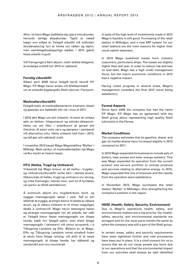Aftur í ár kann Magn staðfesta tap upp á vinnukundar, herundir serliga skipakundar. Tapið er nakað hægri enn síðsta ár. Felagið arbeiðir við miðvísari skuldarastýring fyri at minka um váðan og tapini, men samfelagsbúskaparliga støðan í 2012 gjørdi hetta arbeiði trupult.

Við framgongd á fleiri økjum, metir leiðsla felagsins, at endaliga úrslitið fyri 2012 er nøktandi.

#### **Formlig viðurskifti**

Síðani apríl 2009 hevur felagið borið navnið P/F Magn. P/F Magn hevur avtalu við Shellsamtakið um at umboða dygdargóðu Shell oljurnar í Føroyum.

#### **Marknaðarviðurskifti**

Felagið metir, at marknaðarpartarnir á bensini, diesel og gassolju eru hækkaðir eitt vet í mun til 2011.

Í 2010 økti Magn um sítt virksemi, til eisini at umfata sølu av ketlum, hitapumpum og sólorku-skipanum. Hetta var ein liður í arbeiðinum at gerast eitt Orkuhús, ið eisini veitir vøru og tænastur í sambandi við alternativa orku. Hetta virksemi helt fram í 2012, og tað gav eitt nøktandi úrslit.

Í november 2012 keypti Magn Magnstøðina 'Myllan' í Miðvági. Mett verður, at marknaðarstøðan hjá Magn verður styrkt av hesum keypi.

#### **HTU (Heilsa, Trygd og Umhvørvi)**

Virksemið hjá Magn krevur, at øll heilsu-, trygdar-, og umhvørvisviðurskifti verða tikin í størsta álvara. Okkara krøv til heilsu, trygd og umhvørvi eru strong, og virka framvegis í stóran mun, sum tá ið fyritøkan var partur av Shell samtakinum.

Á summum økjum eru trygdarkrøvini herd, og nýggjar mannagongdir settar í verk. Tað er eitt aðalmál at tryggja, at eingin kemur til skaða av okkara ávum, og at okkara virksemi er til minst møguligan skaða á umhvørvið. Magn hevur tessvegna fastar og strangar mannagongdir fyri øll arbeiði, har váði er. Felagið hevur fastar mannagongdir um óhapp henda, bæði fyri felagið sjálvt, men eisini felags mannagongdir í samstarvi við onnur avvarandi, t d Tilbúgving Landsins og Effo. Ætlanin er, at Magn, Effo og Tilbúgving Landsins minst einaferð hvørt ár skulu hava felags venjing, við atliti til at venja mannagongdir tá óhapp henda, har dálkandi og vandamikil evni eru involverað.

In spite of the high level of investments made in 2012 Magn's liquidity is still good. Purchasing of the retail station in Miðvágur, and a new ERP system for our retail stations are the main reasons for higher than usual capital expenses.

In 2012 Magn sustained losses from industry customers, particularly ships. The losses are slightly higher than last year. In order to reduce risk and loss on bad debt, Magn has a high credit management focus, but the macro ecomomic conditions in 2012 had a negative impact.

Having noted progress in several areas, Magn's management considers the final 2012 result being satisfactory.

#### **Formal Aspects**

Since April 2009 the company has had the name P/F Magn. P/F Magn has an agreement with the Shell group about representing high quality Shell lubricants in the Faroes.

#### **Market Conditions**

The company estimates that its gasoline, diesel, and gas oil market shares have increased slightly in 2012 compared to 2011.

In 2010 Magn expanded its business to include sale of boilers, heat pumps and solar energy systems. This way Magn expanded its operation from the current product and service portfolio to include products and services relating to alternative energy. In 2012, Magn expanded this line of business and the results from the operation were satisfactory.

In November 2012, Magn purchased the retail station 'Myllan' in Miðvágur, thus strengthening the company's position in the region.

#### **HSSE (Health, Safety, Security, Environment)**

Due to Magn's operations health, safety, and environmental matters are a top priority. Our health, safety, security, and environmental standards are stringent and for the most parts remain the same as when the company was still a part of the Shell group.

In certain areas, safety and security requirements have been tightened further and new procedures have been put in place. It is a chief concern for us to ensure that we do not cause people any harm due to our operations and that the environmental impact from our activities shall always be well identified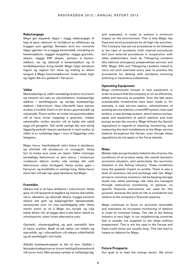#### **Rakstrargøgn**

Magn ger leypandi íløgur í nýggj rakstrargøgn til tess at gera raksturin av fyritøkuni so effektivan og tryggan sum gjørligt. Seinastu árini eru munandi íløgur gjørdar í m.a nýggja bensinstøð, umvæling av bensinstøðum, nýggjar tangabilar, nýggja goymsluskipan, nýggja ERP skipan, pumpur á bensinstøðum, rør og útbúnað á bensinstøðum og til smábátapumpur kring landið. Magn fylgir donskum lógum og reglum fyri reins og máting av øllum tangum á Magn bensinstøðunum, hóast hesar lógir og reglar ikki eru galdandi í Føroyum.

#### **Váðar**

Marknaðarliga er váðin serstakliga knýttur at prísum og treytum fyri sølu av oljuúrdráttum, búskaparligu støðuni í samfelagnum og serliga búskaparligu støðuni í fiskivinnuni. Hesi viðurskifti hava størstu ávirkan á úrslitið. Eisini er ein ávísur goymsluváði og valutaváði. Roynt verður at minka um goymsluváðan við at hava minst møguligt á goymslu, meðan valutaváðin verður stýrdur við at halda eitt vakið eyga við gongdini. Tað verða vanliga ikki nýtt serlig fíggjarlig amboð í hesum sambandi, tí mett verður, at váðin tó er lutfalsliga lágur í mun til fíggjarligu orku felagsins.

Magn hevur framhaldandi stórt fokus á skuldarar, og eftirlitið við skuldarum er munagott. Hetta fyri at minka sum mest um tapini. Váðin mótvegis serstakliga fiskivinnuni er sera stórur. Í londunum rundanum okkum verður olja vanliga ikki veitt fiskivinnuni uttan forútgjald. Hetta verður gjørt í Føroyum, og kredittíðin er vanliga long. Hetta hevur eisini ført við sær tap uppá skuldarar hjá Magn.

#### **Framtíðin**

Okkara mál er at hava leiðsluna í orkuvinnuni. Hetta gera vit við leypandi at dagføra og menna starvsfólk, vørur, tænastur og útbúnað okkara, tryggja kundum okkara eitt gott og kappingarført tænastustøði, samstundis sum vit vísa samfelagslig atlit. Hetta merkir eisini, at vit á Magn eru byrjað, og vilja halda áfram við, at leggja dent á eitt størri útboð av orkuloysnum, eisini innan alternativa orku.

Opinleiki, vitanarspjaðing og gott samskifti føra til bestu úrslitini. Bæði tá tað ræður um leiðslu og starvsfólk, og í viðurskiftum við okkara viðskiftafólk og alt samfelagið í síni heild.

Altjóða búskaparkreppan er ikki av enn. Støðan í føroyska búskapinum er tó sum heild góð samanborið við onnur lond. Men privata nýtslan er lutfalsliga lág,

and evaluated, in order to achieve a minimum impact on the environment. This is why Magn has fixed and strict procedures for all high risk activities. The Company has set out procedures to be followed in the case of accidents, both internal procedures and joint external procedures in cooperation with other stakeholders, such as, Tilbúgving Landsins (the national emergency preparedness service) and Effo. Magn, Effo and Tilbúgving Landsins intend to carry out joint exercises every year to practice the procedures for dealing with accidents involving polluting or hazardous substances.

#### **Operating Equipment**

Magn continuously invests in new equipment in order to ensure that the company is run as efficiently, safely and securely as possible. Over the last years considerable investments have been made in, for example, a new service station, refurbishment of existing service stations, a new ERP system, new road tankers, a new storage system, petrol station pumps, pipes and equipment at petrol stations and boat pumps across the country. Magn follows the Danish regulations in regards to cleaning, monitoring, and measuring the tank installations at the Magn service stations throughout the Faroes, even though these regulations do not apply in the Faroe Islands.

#### **Risks**

Market risks are particularly linked to the oil price, the conditions of oil product sales, the overall domestic economic situation, and particularly the economic situation in the fishing industry. These conditions have the greatest impact on profits. There is also a level of inventory risk and exchange rate risk. Magn strives to minimize inventory risk by keeping storage levels low, while exchange rate risks are managed through meticulous monitoring. In general, no specific financial instruments are used for this purpose, because the level of risk is considered low relative to the company's financial capacity.

Magn continues to focus on accounts receivable and maintains its increased monitoring of debtors in order to minimize losses. The risk in the fishing industry is very high. In our neighbouring countries fuel is usually not supplied to the ships without prepayment. This is not the case in the Faroes and fixed credit times are usually long. This has lead to losses on debtors for Magn.

#### **Future Prospects**

Our goal is to lead the energy sector. We strive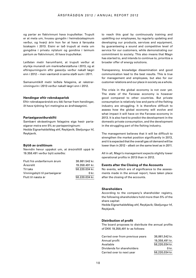og partar av fiskivinnuni hava trupulleikar. Trupult er at meta um, hvussu gongdin í heimsbúskapinum verður, og hvørji árin hon fer at hava á føroyska búskapin í 2013. Eisini er tað trupult at meta um gongdina í privatu nýtsluni og gondina í teimum pørtum av fiskivinnuni, ið hava trupulleikar.

Leiðslan metir harumframt, at trupult verður at styrkja munandi um marknaðarstøðuna í 2013, og at eftirspurningurin eftir gassolju verður nakað lægri enn í 2012 – men væntandi á sama støði sum í 2011.

Samanumtikið metir leiðsla felagsins, at rakstrarvinningurin í 2013 verður nakað lægri enn í 2012.

#### **Hendingar eftir roknskaparlok**

Eftir roknskaparárslok eru ikki farnar fram hendingar, ið hava týdning fyri metingina av ársfrásøgnini.

#### **Partaeigaraviðurskifti**

Sambært skrásetingum felagsins eiga hesir partaeigarar meira enn 5% av partapeninginum: Hedda Eignarhaldsfélag ehf, Reykjavík; Skeljungur hf, Reykjavík.

#### **Býtið av úrslitinum**

Nevndin hevur uppskot um, at ársúrslitið uppá kr 19.358.491 verður býtt soleiðis:

| Flutt frá undanfarnum árum    | 38.861.542 kr. |
|-------------------------------|----------------|
| Ársúrslit                     | 19.358.491 kr. |
| Til taks                      | 58.220.034 kr. |
| Vinningsbýti til partaeigarar | 0 kr.          |
| Flutt til næsta ár            | 58.220.034 kr. |
|                               |                |

to reach this goal by continuously training and upskilling our employees, by regularly updating and developing our products, services and equipment, by guaranteeing a sound and competitive level of service for our customers, while demonstrating our commitment to society. This also means that Magn has started to, and intends to continue to, prioritize a broader offer of energy solutions.

Transparency, knowledge dissemination and good communication lead to the best results. This is true for management and employees, but also for our customer relations and our place in society as a whole.

The crisis in the global economy is not over yet. The state of the Faroese economy is however good compared to other countries. But private consumption is relatively low and parts of the fishing industry are struggling. It is therefore difficult to assess how the global economy will evolve and what impact it will have on the Faroese economy in 2013. It is also hard to predict the development in the domestic private consumption, and the development in the struggling part of the fishing industry.

The management believes that it will be difficult to strengthen the market position significantly in 2013, and it is expected that the overall gas oil demand will be lower than in 2012 – albeit on the same level as in 2011.

All in all, Magn's management expects slightly lower operational profits in 2013 than in 2012.

#### **Events after the Closing of the Accounts**

No events, which are of significance to the assessments made in the annual report, have taken place after the closing of the accounts.

#### **Shareholders**

According to the company's shareholder registry, the following shareholders hold more than 5% of the share capital:

Hedda Eignarhaldsfélag ehf, Reykjavík; Skeljungur hf, Reykjavík.

#### **Distribution of profit**

The board proposes to distribute the annual profits of DKK 19,358,491 kr as follows:

| Carried over from previous years | 38,861,542 kr. |
|----------------------------------|----------------|
| Annual profit                    | 19,358,491 kr. |
| Available                        | 58,220,034 kr. |
| Dividends for shareholders       | 0 kr.          |
| Carried over to next year        | 58,220,034 kr. |
|                                  |                |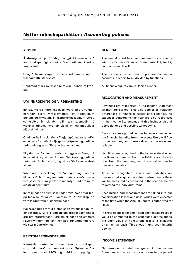# Nýttur roknskaparháttur / *Accounting policies*

#### **ALMENT**

Ársfrásøgnin hjá P/F Magn er gjørd í samsvar við ársroknskaparlógina fyri stórar fyritøkur í roknskaparflokki C.

Felagið hevur avgjørt at seta roknskapin upp í frásøguhátti, starvsbýtt.

Upphæddirnar í roknskapinum eru í donskum krónum.

### **UM INNROKNING OG VIRÐISÁSETING**

Inntøkur verða innroknaðar, so hvørt tær eru vunnar, herundir eisini virðisjavningar av fíggjarligum ognum og skyldum. Í rakstrarroknskapinum verða somuleiðis innroknaðir allir teir kostnaðir, ið viðvíkja árinum, herundir eisini av- og møguligar niðurskrivingar.

Ognir verða innroknaðar í fíggjarstøðuna, tá sannlíkt er, at tær í framtíðini vilja geva fyritøkuni fíggjarligar fyrimunir, og at virðið kann ásetast álítandi.

Skyldur verða innroknaðar í fíggjarstøðuna, tá ið sannlíkt er, at tær í framtíðini taka fíggjarligar fyrimunir úr fyritøkuni, og at virðið kann ásetast álítandi.

Við fyrstu innrokning verða ognir og skyldur tiknar við til útveganarvirði. Síðani verða hesar virðisásettar, sum greitt frá niðanfyri undir teimum einstøku postunum.

Innrokningar og virðisásetingar taka hædd fyri tapi og tapsváðum, ið vóru væntað, tá ið roknskapurin varð lagdur fram til góðkenningar.

Roknskaparliga virðið á støðisogn verður gjøgnumgingið árliga, fyri at staðfesta um greiðar ábendingar eru um størri/týðandi virðisminkingar enn staðfest í avskrivingum, og kann henda gjøgnumgongd føra við sær niðurskrivingar.

#### **RAKSTRARROKNSKAPURIN**

Nettosølan verður innroknað í rakstrarroknskapin, sum fakturerað og kontant søla. Sølan verður innroknað uttan MVG og frádrigin møguligum

### **GENERAL**

The annual report has been prepared in accordance with the Faroese Financial Statements Act, for big companies in class C.

The company has chosen to prepare the annual accounts in report form, divided by functions.

All financial figures are in Danish Kroner.

#### **RECOGNITION AND MEASUREMENT**

Revenues are recognized in the Income Statement as they are earned. This also applies to valuation differences of financial assets and liabilities. All expenses concerning the year are also recognized in the Income Statement, and this includes also all depreciations and possible writedowns.

Assets are recognized in the balance sheet when the financial benefits from the assets likely will flow to the company and these values can be measured reliably.

Liabilities are recognized in the balance sheet when the financial benefits from the liability are likely to flow from the company, and these values can be measured reliably.

At initial recognition, assets and liabilities are measured at acquisition value. Subsequently these will be measured as described in the sections below regarding the individual items.

Recognising and measurement are taking into due consideration losses and risks, which were expected at the time when the Annual Report is authorized for issue.

In order to check for significant changes/decrease in value as compared to the scheduled depreciations, the book value of noncurrent assets is evaluated on an annual basis. This check might result in write downs.

## **INCOME STATEMENT**

Net turnover is being recognized in the Income Statement as invoiced and cash sales in the period,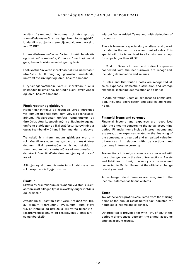avsláttri í sambandi við søluna. Íroknað í sølu og framleiðslukostnaði er serliga brennioljuavgjaldið. Undantikin at gjalda brennioljuavgjald eru bara skip yvir 20 BRT.

Í framleiðslukostnaðin verða innroknaðir beinleiðis og óbeinleiðis kostnaðir, ið hava við nettosøluna at gera, harundir eisini avskrivingar og lønir.

Í sølukostnaðin verða innroknaðir allir sølukostnaðir, útreiðslur til flutning og goymslur innanlands, umframt avskrivingar og lønir í hesum sambandi.

Í fyrisitingarkostnaðin verður innroknaður allur kostnaður til umsiting, herundir eisini avskrivingar og lønir í hesum sambandi.

#### **Fíggjarpostar og gjaldoyra**

Fíggjarligar inntøkur og kostnaðir verða innroknað við teimum upphæddum, sum viðvíkja roknskaparárinum. Fíggjarpostar umfata rentuinntøkur og útreiðslur, aðrar kostnaðir knýttir at fígging felagsins, umframt staðfestur og ikki staðfestur kursvinningur og tap í sambandi við handil í fremmandum gjaldoyra.

Transaktiónir í fremmandum gjaldoyra eru umroknaðar til kursin, sum var galdandi á transaktiónsdegnum. Ikki avroknaðar ognir og skyldur í fremmandum valuta verða við árslok umroknaðar til danskar krónur til síðsta almenna gjaldoyrakurs við árslok.

Allir gjaldoyrakursmunir verða innroknaðir í rakstrarroknskapin undir fíggjarpostum.

#### **Skattur**

Skattur av ársúrslitinum er roknaður við støði í úrsliti áðrenn skatt, tillagað fyri ikki skattskyldugar inntøkur og útreiðslur.

Avsetingin til útsettan skatt verður roknað við 18% av teimum tíðarbundnu avvikunum, sum stava frá, at inntøkur og útreiðslur ikki verða tiknar við í rakstrarroknskapinum og skattskyldugu inntøkuni í sama tíðarskeiði.

without Value Added Taxes and with deduction of discounts.

There is however a special duty on diesel and gas oil included in the net turnover and cost of sales. This special oil duty is invoiced to all customers except for ships larger than 20 GT.

In Cost of Sales all direct and indirect expenses connected with the net turnover are recognized, including depreciation and salaries.

In Sales and Distribution costs are recognized all sales expenses, domestic distribution and storage expenses, including depreciation and salaries.

In Administration Costs all expenses to administration, including depreciation and salaries are recognized.

#### **Financial items and currency**

Financial income and expenses are recognized with the amounts concerning the actual accounting period. Financial items include interest income and expense, other expenses related to the financing of the company, and realized and unrealized valuation differences in relation with transactions and positions in foreign currency.

Transactions in foreign currency are converted with the exchange rate on the day of transactions. Assets and liabilities in foreign currency are by year end converted to Danish Kroner at the official exchange rate at year end.

All exchange rate differences are recognized in the Income Statement as financial items.

#### **Taxes**

Tax of the year's profit is calculated from the starting point of the annual result before tax, adjusted for nontaxable income and expenses.

Deferred tax is provided for with 18% of any of the periodic divergences between the annual accounts and tax account results.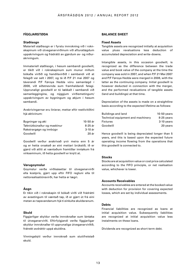## **FÍGGJARSTØÐA**

#### **Støðisogn**

Materiell støðisogn er í fyrstu innrokning við í roknskapinum við útveganarvirðinum við afturatløgdum uppskrivingum og frádrátti av gjørdum av- og niðurskrivingum.

Immateriell støðisogn, í hesum sambandi goodwill, er tikið við í roknskapinum sum munur millum bókaða virðið og handilsvirðið í sambandi við at felagið var selt í 2007, og tá ið P/F 21 mai 2007 og táverandi P/F Føroya Hedda vóru samanløgd í 2008, við síðstnevnda sum framhaldandi felagi. Upprunaligt goodwill er tó lækkað í sambandi við samanleggingina, og nýggjum virðismetingum/ uppskrivingum av bygningum og økjum í hesum sambandi.

Avskrivingarnar eru linierar, mettar eftir restlivitíðini hjá aktivinum:

| Bygningar og øki           | 10-50 ár |
|----------------------------|----------|
| Tøkniútbúnaður og maskinur | 8-25 ár  |
| Rakstrargøgn og innbúgv    | 3-10 ár  |
| Goodwill                   | 20 ár    |

Goodwill verður avskrivað yvir meira enn 5 ár og er hetta orsakað av eini mettari brúkstíð, ið er gjørd við atliti at væntaðum framtíðar inntøkum frá virkseminum, ið hetta goodwill er knýtt at.

#### **Vørugoymslur**

Goymslur verða virðisásettar til útveganarvirði ella kostprís, gjørt upp eftir FIFO regluni ella til nettorealisatiónsvirði, har hetta er lægri.

#### **Áogn**

Er tikin við í roknskapin til bókað virði við frádrátti av avsetingum til væntað tap, ið er gjørt út frá eini metan av tapsvandanum hjá tí einkulta skuldaranum.

#### **Skuld**

Fíggjarligar skyldur verða innroknaðar sum lántøka til útveganarvirði. Eftirfylgjandi verða fíggjarligar skyldur innroknaðar til upprunaliga útveganarvirðið, frátrekt avdráttir uppá skuldina.

Vinningsbýti verður innroknað sum stuttfreistað skuld.

#### **BALANCE SHEET**

#### **Fixed Assets**

Tangible assets are recognized initially at acquisition value pluss revaluations less deduction of accumulated depreciation and write-downs.

Intangible assets, in this occasion goodwill, is recognized as the difference between the trade value and book value of the company at the time the company was sold in 2007, and when P/F 21 Mai 2007 and P/F Føroya Hedda were merged in 2008, with the latter as the continuing company. Initial goodwill is however deducted in connection with the merger, and the performed revaluations of tangible assets (land and buildings) at that time.

Depreciation of the assets is made on a straightline basis according to the expected lifetime as follows:

| Buildings and land                | $10-50$ years |
|-----------------------------------|---------------|
| Technical equipment and machinery | 8-25 years    |
| <b>Fixtures</b>                   | $3-10$ years  |
| Goodwill                          | 20 years      |

Hence goodwill is being depreciated longer than 5 years, and this is based upon the expected future operating income flowing from the operations that this goodwill is connected to.

#### **Stocks**

Stocks are at acquisition value or cost price calculated according to the FIFO principle, or net realisation value, whichever is lower.

### **Accounts Receivables**

Accounts receivables are entered at the booked value with deduction for provision for covering expected losses, which are set by individual assessments.

#### **Debts**

Financial liabilities are recognized as loans at initial acquisition value. Subsequently liabilities are recognized at initial acquisition value less instalments on these loans.

Dividends are recognized as short term debt.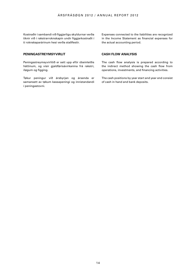Kostnaðir í sambandi við fíggjarligu skyldurnar verða tiknir við í rakstrarroknskapin undir fíggjarkostnaði í tí roknskaparárinum hesi verða staðfestir.

Expenses connected to the liabilities are recognized in the Income Statement as financial expenses for the actual accounting period.

## **PENINGASTREYMSYVIRLIT**

Peningsstreymsyvirlitið er sett upp eftir óbeinleiðis háttinum, og vísir gjaldførisávirkanina frá rakstri, íløgum og fígging.

Tøkur peningur við ársbyrjan og ársenda er samansett av tøkum kassapeningi og innistandandi í peningastovni.

## **CASH FLOW ANALYSIS**

The cash flow analysis is prepared according to the indirect method showing the cash flow from operations, investments, and financing activities.

The cash positions by year start and year end consist of cash in hand and bank deposits.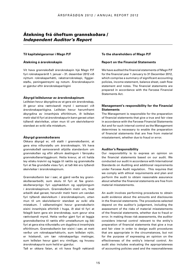# Átekning frá óheftum grannskoðara / *Independent Auditor's Report*

#### **Til kapitaleigararnar í Magn P/F**

#### **Átekning á ársroknskapin**

Vit hava grannskoðað ársroknskapin hjá Magn P/F fyri roknskaparárið 1. januar – 31. desember 2012 við nýttum roknskaparhátti, rakstrarroknskapi, fíggjarstøðu, peningastreymi og notum. Ársroknskapurin er gjørdur eftir ársroknskaparlógini

#### **Ábyrgd leiðslunnar av ársroknskapinum**

Leiðslan hevur ábyrgdina av at gera ein ársroknskap, ið gevur eina rættvísandi mynd í samsvari við ársroknskaparlógina. Leiðslan hevur harumframt ábyrgdina av innanhýsis eftirlitinum, ið leiðslan metir skal til fyri at ársroknskapurin kann gerast uttan týðandi skeivleikar, uttan mun til um skeivleikarnir standast av sviki ella mistøkum.

## **Ábyrgd grannskoðarans**

Okkara ábyrgd er, við støði í grannskoðanini, at gera eina niðurstøðu um ársroknskapin. Vit hava grannskoðað samsvarandi altjóða standardum um grannskoðan og eftir øðrum ásetingum í føroysku grannskoðanarlóggávuni. Hetta krevur, at vit halda tey etisku krøvini og leggja til rættis og grannskoða fyri at fáa grundaða vissu fyri, at tað ikki eru týðandi skeivleikar í ársroknskapinum.

Grannskoðanin ber í sær, at gjørd verða tey grannskoðaraarbeiði, sum skulu til fyri at fáa grannskoðanarprógv fyri upphæddum og upplýsingum í ársroknskapinum. Grannskoðarin metir um, hvat arbeiði skal gerast, herundir metir hann um vandan fyri týðandi skeivleikum í ársroknskapinum, uttan mun til um skeivleikarnir standast av sviki ella mistøkum. Í váðametingini hevur grannskoðarin eisini innanhýsis eftirlitið í huga, ið skal til fyri at felagið kann gera ein ársroknskap, sum gevur eina rættvísandi mynd. Hetta verður gjørt fyri at leggja grannskoðanina til rættis eftir umstøðunum og ikki fyri at gera eina niðurstøðu um dygdina á innanhýsis eftirlitinum. Grannskoðanin ber eisini í sær, at mett verður um roknskaparhátturin, sum leiðslan nýtir, er hóskandi, um tær roknskaparligu metingar, sum leiðslan hevur gjørt eru rímiligar, og hvussu ársroknskapurin sum heild er gjørdur.

Tað er okkara fatan, at vit hava fingið nøktandi

#### **To the shareholders of Magn P/F**

#### **Report on the Financial Statements**

We have audited the financial statements of Magn P/F for the financial year 1 January to 31 December 2012, which comprise a summary of significant accounting policies, income statement, balance sheet, cash flow statement and notes. The financial statements are prepared in accordance with the Faroese Financial Statements Act.

### **Management's responsibility for the Financial Statements**

The Management is responsible for the preparation of financial statements that give a true and fair view in accordance with the Faroese Financial Statements Act and for such internal control as the Management determines is necessary to enable the preparation of financial statements that are free from material misstatement, whether due to fraud or error.

#### **Auditor's Responsibility**

Our responsibility is to express an opinion on the financial statements based on our audit. We conducted our audit in accordance with International Standards on Auditing and additional requirements under Faroese Audit regulation. This requires that we comply with ethical requirements and plan and perform the audit to obtain reasonable assurance about whether the financial statements are free from material misstatements.

An audit involves performing procedures to obtain audit evidence about the amounts and disclosures in the financial statements. The procedures selected depend on the auditor's judgement, including the assessment of the risks of material misstatements of the financial statements, whether due to fraud or error. In making those risk assessments, the auditor considers internal control relevant to the entity's preparation of financial statements that give a true and fair view in order to design audit procedures that are appropriate in the circumstances, but not for the purpose of expressing an opinion on the effectiveness of the entity's internal control. An audit also includes evaluating the appropriateness of accounting policies used and the reasonableness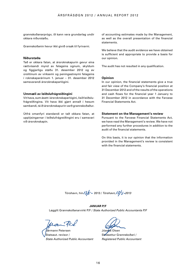grannskoðanarprógv, ið kann vera grundarlag undir okkara niðurstøðu.

Grannskoðanin hevur ikki givið orsøk til fyrivarni.

#### **Niðurstøða**

Tað er okkara fatan, at ársroknskapurin gevur eina rættvísandi mynd av felagsins ognum, skyldum og fíggjarligu støðu 31. desember 2012 og av úrslitinum av virksemi og peningastreymi felagsins í roknskaparárinum 1. januar – 31. desember 2012 samsvarandi ársroknskaparlógini.

#### **Ummæli av leiðslufrágreiðingini**

Vit hava, sum ásett í ársroknskaparlógini, lisið leiðslufrágreiðingina. Vit hava ikki gjørt annað í hesum sambandi, tá ið ársroknskapurin varð grannskoðaður.

Útfrá omanfyri standandi er tað okkara fatan, at upplýsingarnar í leiðslufrágreiðingini eru í samsvari við ársroknskapin.

of accounting estimates made by the Management, as well as the overall presentation of the financial statements.

We believe that the audit evidence we have obtained is sufficient and appropriate to provide a basis for our opinion.

The audit has not resulted in any qualification.

#### **Opinion**

In our opinion, the financial statements give a true and fair view of the Company's financial position at 31 December 2012 and of the results of the operations and cash flows for the financial year 1 January to 31 December 2012 in accordance with the Faroese Financial Statements Act.

#### **Statement on the Management's review**

Pursuant to the Faroese Financial Statements Act, we have read the Management's review. We have not performed any further procedures in addition to the audit of the financial statements.

On this basis, it is our opinion that the information provided in the Management's review is consistent with the financial statements.

Tórshavn, hin **3/5 -** 2013 / *Tórshavn, 13*/5 - 2013

**Januar P/F**  Løggilt Grannskoðanarvirki P/F / *State Authorized Public Accountants P/F*

Jørmann Petersen Statsaut. revisor / *State Authorized Public Accountant* 

Olsen Skrásettur Grannskoðari / *Registered Public Accountant*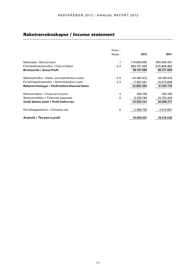# Rakstrarroknskapur / *Income statement*

|                                                   | Notur/       |                |               |
|---------------------------------------------------|--------------|----------------|---------------|
|                                                   | <b>Notes</b> | 2012           | 2011          |
| Nettosøla / Net turnover                          | 1            | 779.889.005    | 664.908.491   |
| Framleiðslukostnaður / Cost of Sales              | $2 - 3$      | $-683.781.406$ | -578.696.862  |
| <b>Bruttoúrslit / Gross Profit</b>                |              | 96.107.598     | 86.211.629    |
| Sølukostnaður / Sales- and distribution costs     | $2 - 3$      | $-44.384.812$  | $-40.190.015$ |
| Fyrisitingarkostnaður / Administration costs      | $2 - 3$      | -17.867.481    | $-15.013.898$ |
| Rakstrarvinningur / Profit before financial items |              | 33.855.305     | 31.007.716    |
| Rentuinntøkur / Financial income                  | 4            | 209.708        | 284.760       |
| Rentuútreiðslur / Financial expenses              | 5            | $-9.239.766$   | $-10.704.259$ |
| Urslit áðrenn skatt / Profit before tax           |              | 24.825.247     | 20.588.217    |
| Partafelagsskattur / Company tax                  | 6            | $-5.466.756$   | $-4.013.687$  |
| Arsúrslit / The year's profit                     |              | 19.358.491     | 16.574.530    |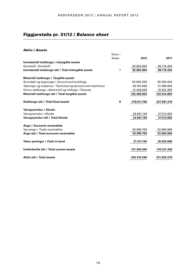# Fíggjarstøða pr. 31/12 / *Balance sheet*

## Aktiv / *Assets*

|                                                          | Notur/         |             |             |
|----------------------------------------------------------|----------------|-------------|-------------|
|                                                          | <b>Notes</b>   | 2012        | 2011        |
| Immateriell støðisogn / Intangible assets                |                |             |             |
| Goodwill / Goodwill                                      |                | 92.602.804  | 98.776.324  |
| Immateriell støðisogn íalt / Total intangible assets     | $\overline{7}$ | 92.602.804  | 98.776.324  |
| Materiell støðisogn / Tangible assets                    |                |             |             |
| Grundøki og bygningar / Ground and buildings             |                | 83.805.208  | 80.392.845  |
| Tøkniogn og maskinur / Technical equipment and machinery |                | 29.164.865  | 31.999.655  |
| Onnur støðisogn, rakstrartól og innbúgy / Fixtures       |                | 12.438.829  | 10.522.395  |
| Materiell støðisogn íalt / Total tangible assets         |                | 125.408.902 | 122.914.895 |
| Støðisogn íalt / Total fixed assets                      | 8              | 218.011.706 | 221.691.219 |
| Vørugoymslur / Stocks                                    |                |             |             |
| Vørugoymslur / Stocks                                    |                | 33.991.749  | 37.513.092  |
| Vørugoymslur íalt / Total Stocks                         |                | 33.991.749  | 37.513.092  |
| Aogn / Accounts receivables                              |                |             |             |
| Vøruáogn / Trade receivables                             |                | 55.995.700  | 52.665.660  |
| Aogn ialt / Total accounts receivables                   |                | 55.995.700  | 52.665.660  |
| Tøkur peningur / Cash in hand                            |                | 31.317.145  | 20.052.606  |
| Umferðarfæ íalt / Total current assets                   |                | 121.304.594 | 110.231.358 |
| Aktiv jalt / Total assets                                |                | 339.316.299 | 331.922.578 |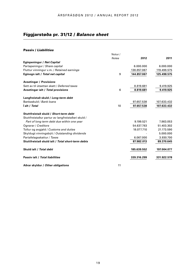# Fíggjarstøða pr. 31/12 / *Balance sheet*

## Passiv / *Liabilities*

|                                                   | Notur/<br><b>Notes</b> | 2012        | 2011        |
|---------------------------------------------------|------------------------|-------------|-------------|
| Eginpeningur / Net Capital                        |                        |             |             |
| Partapeningur / Share capital                     |                        | 6.000.000   | 6.000.000   |
| Fluttur vinningur v.m. / Retained earnings        |                        | 138.857.067 | 119.498.575 |
| Eginogn ialt / Total net capital                  | 9                      | 144.857.067 | 125.498.575 |
| <b>Avsetingar / Provisions</b>                    |                        |             |             |
| Sett av til útsettan skatt / Deferred taxes       |                        | 8.819.681   | 9.419.925   |
| Avsetingar ialt / Total provisions                | 6                      | 8.819.681   | 9.419.925   |
| Langfreistað skuld / Long-term debt               |                        |             |             |
| Bankaskuld / Bank Joans                           |                        | 97.657.538  | 107.633.432 |
| l alt / Total                                     | 10                     | 97.657.538  | 107.633.432 |
| Stuttfreistað skuld / Short-term debt             |                        |             |             |
| Stuttfreistaður partur av langfreistaðari skuld / |                        |             |             |
| Part of long term debt due within one year        |                        | 9.199.521   | 7.863.053   |
| Ognarar / Creditors                               |                        | 54.637.783  | 51.403.302  |
| Tollur og avgiøld / Customs and duties            |                        | 18.077.710  | 21.173.590  |
| Skyldugt vinningsbýti / Outstanding dividends     |                        |             | 5.000.000   |
| Partafelagsskattur / Taxes                        |                        | 6.067.000   | 3.930.700   |
| Stuttfreistað skuld íalt / Total short-term debts |                        | 87.982.013  | 89.370.645  |
| Skuld ialt / Total debt                           |                        | 185.639.552 | 197.004.077 |
| Passiv ialt / Total liabilities                   |                        | 339.316.299 | 331.922.578 |

**Aðrar skyldur /** *Other obligations*

11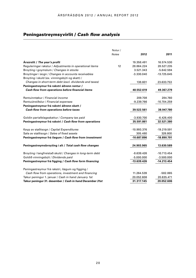# Peningastreymsyvirlit / *Cash flow analysis*

|                                                           | Notur/       |               |               |
|-----------------------------------------------------------|--------------|---------------|---------------|
|                                                           | <b>Notes</b> | 2012          | 2011          |
| Arsúrslit / The year's profit                             |              | 19.358.491    | 16.574.530    |
| Reguleringar rakstur / Adjustments in operational items   | 12           | 28.864.224    | 28.527.235    |
| Broyting i goymslum / Changes in stocks                   |              | 3.521.343     | $-5.642.594$  |
| Broytingar í áogn / Changes in accounts receivables       |              | $-3.330.040$  | $-13.725.645$ |
| Broyting í skuld (ex. vinningsbýti og skatt) /            |              |               |               |
| Changes in short-term debt (excl. dividends and taxes)    |              | 138.601       | 23.633.753    |
| Peningastreymur frá rakstri áðrenn rentur /               |              |               |               |
| Cash flow from operations before financial items          |              | 48.552.619    | 49.367.279    |
| Rentuinntøkur / Financial income                          |              | 209.708       | 284.760       |
| Rentuútreiðslur / Financial expenses                      |              | $-9.239.766$  | $-10.704.259$ |
| Peningastreymur frá rakstri áðrenn skatt /                |              |               |               |
| Cash flow from operations before taxes                    |              | 39.522.561    | 38.947.780    |
| Goldin partafelagsskattur / Company tax paid              |              | $-3.930.700$  | $-6.426.400$  |
| Peningastreymur frá rakstri / Cash flow from operations   |              | 35.591.861    | 32.521.380    |
| Keyp av støðisogn / Capital Expenditures                  |              | $-10.993.376$ | $-19.219.591$ |
| Søla av støðisogn / Sales of fixed assets                 |              | 305.480       | 328.800       |
| Peningastreymur frá íløgum / Cash flow from investment    |              | $-10.687.896$ | -18.890.791   |
| Peningastreymsbroyting i alt / Total cash flow changes    |              | 24.903.965    | 13.630.589    |
| Broyting í langfreistað skuld / Changes in long-term debt |              | $-8.639.426$  | $-10.713.454$ |
| Goldið vinningsbýti / Dividends paid                      |              | $-5.000.000$  | $-3.500.000$  |
| Peningastreymur frá fígging / Cash flow form financing    |              | $-13.639.426$ | $-14.213.454$ |
| Peningastreymur frá rakstri, íløgum og fígging /          |              |               |               |
| Cash flow from operations, investment and financing       |              | 11.264.539    | $-582.865$    |
| Tøkur peningur 1. januar / Cash in hand January 1st       |              | 20.052.606    | 20.635.471    |
| Tøkur peningur 31. desember / Cash in hand December 31st  |              | 31.317.145    | 20.052.606    |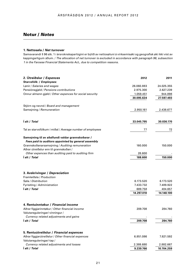# Notur / *Notes*

## **1. Nettosøla /** *Net turnover*

Samsvarandi § 96 stk. 1 í ársroknskaparlógini er býtið av nettosøluni á virksemisøki og geografisk øki ikki víst av kappingarligum áðum. / *The allocation of net turnover is excluded in accordance with paragraph 96, subsection 1 in the Faroese Financial Statements Act., due to competition reasons.*

| 2. Útreiðslur / Expences                                                                                                          | 2012                                            | 2011                                            |
|-----------------------------------------------------------------------------------------------------------------------------------|-------------------------------------------------|-------------------------------------------------|
| Starvsfólk: / Employees:                                                                                                          |                                                 |                                                 |
| Lønir / Salaries and wages                                                                                                        | 26.060.883<br>2.975.300                         | 24.025.355<br>2.627.239                         |
| Pensiónsgjøld / Pensions contributions<br>Onnur almenn gjøld / Other expences for social security                                 | 1.059.451                                       | 944.898                                         |
|                                                                                                                                   | 30.095.634                                      | 27.597.493                                      |
|                                                                                                                                   |                                                 |                                                 |
| Stjórn og nevnd / Board and management<br>Samsýning / Remuneration                                                                | 2.950.161                                       | 2.438.677                                       |
|                                                                                                                                   |                                                 |                                                 |
| l alt / Total                                                                                                                     | 33.045.795                                      | 30.036.170                                      |
| Tal av starvsfólkum í miðal / Average number of employees                                                                         | 77                                              | 72                                              |
| Samsýning til av aðalfundi valdar grannskoðarar /                                                                                 |                                                 |                                                 |
| Fees paid to auditors appointed by general assembly                                                                               |                                                 |                                                 |
| Grannskoðanarsamsýning / Auditing remuneration                                                                                    | 160.000                                         | 150.000                                         |
| Aðrar útreiðslur enn til grannskoðan /                                                                                            |                                                 |                                                 |
| Other expences than auditing paid to auditing firm                                                                                | 28.600                                          |                                                 |
| l alt / Total                                                                                                                     | 188.600                                         | 150.000                                         |
| 3. Avskrivingar / Depreciation<br>Framleiðsla / Production<br>Søla / Distribution<br>Fyrisiting / Administration<br>l alt / Total | 6.173.520<br>7.433.732<br>689.758<br>14.297.010 | 6.173.520<br>7.489.922<br>484.657<br>14.148.100 |
| 4. Rentuinntøkur / Financial income                                                                                               |                                                 |                                                 |
| Aðrar fíggjarinntøkur / Other financial income<br>Valutareguleringar/-vinningur /                                                 | 209.708                                         | 284.760                                         |
| Currency related adjustments and gains                                                                                            |                                                 |                                                 |
| l alt / Total                                                                                                                     | 209.708                                         | 284.760                                         |
| 5. Rentuútreiðslur / Financial expences                                                                                           |                                                 |                                                 |
| Aðrar fíggjarútreiðslur / Other financial expences                                                                                | 6.851.086                                       | 7.821.592                                       |
| Valutareguleringar/-tap/<br>Currency related adjustments and losses                                                               | 2.388.680                                       | 2.882.667                                       |
| l alt / Total                                                                                                                     | 9.239.766                                       | 10.704.259                                      |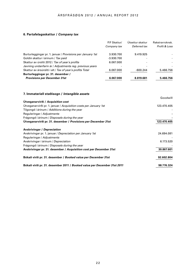## **6. Partafelagsskattur /** *Company tax*

|                                                            | P/F Skattur/<br>Company tax | Ütsettur skattur | Rakstrarroknsk.<br>Profit & Loss |
|------------------------------------------------------------|-----------------------------|------------------|----------------------------------|
|                                                            |                             | Deferred tax     |                                  |
| Burturleggingar pr. 1. januar / Provisions per January 1st | 3.930.700                   | 9.419.925        |                                  |
| Goldin skattur í árinum / Tax paid                         | $-3.930.700$                |                  |                                  |
| Skattur av úrsliti 2012 / Tax of year's profits            | 6.067.000                   |                  |                                  |
| Javning undanfarin ár / Adjustments reg. previous years    |                             |                  |                                  |
| Skattur av ársúrsliti í alt / Tax of year's profits Total  | 6.067.000                   | $-600.244$       | 5.466.756                        |
| Burturleggingar pr. 31. desember /                         |                             |                  |                                  |
| <b>Provisions per December 31st</b>                        | 6.067.000                   | 8.819.681        | 5.466.756                        |

# **7. Immateriell støðisogn /** *Intangible assets*

|                                                                         | Goodwill    |
|-------------------------------------------------------------------------|-------------|
| Útveganarvirði / Acquisition cost                                       |             |
| Utveganarvirði pr. 1. januar / Acquisition costs per January 1st        | 123.470.405 |
| Tilgongd í árinum / Additions during the year                           |             |
| Reguleringar / Adjustments                                              |             |
| Frágongd í árinum / Disposals during the year                           |             |
| Utveganarvirði pr. 31. desember / Provisions per December 31st          | 123.470.405 |
| <b>Avskrivingar / Depreciation</b>                                      |             |
| Avskrivingar pr. 1. januar / Depreciation per January 1st               | 24.694.081  |
| Reguleringar / Adjustments                                              |             |
| Avskrivingar í árinum / Depreciation                                    | 6.173.520   |
| Frágongd í árinum / Disposals during the year                           |             |
| Avskrivingar pr. 31. desember / Acquisition cost per December 31st      | 30.867.601  |
| Bókað virði pr. 31. desember / Booked value per December 31st           | 92.602.804  |
| Bókað virði pr. 31. desember 2011 / Booked value per December 31st 2011 | 98.776.324  |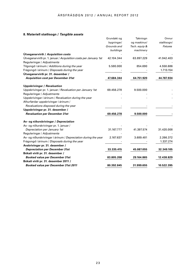# **8. Materiell støðisogn /** *Tangible assets*

|                                                                  | Grundøki og | Tøkniogn      | Onnur           |
|------------------------------------------------------------------|-------------|---------------|-----------------|
|                                                                  | bygningar/  | og maskinur/  | støðisogn/      |
|                                                                  | Grounds and | Tech. equip & | <b>Fixtures</b> |
|                                                                  | buildings   | machinery     |                 |
| Útveganarvirði / Acquisition costs                               |             |               |                 |
| Útveganarvirði pr. 1. januar / Acquisition costs per January 1st | 42.104.344  | 63.897.229    | 41.942.403      |
| Reguleringar / Adjustments                                       |             |               |                 |
| Tilgongd í árinum / Additions during the year                    | 5.580.000   | 854.690       | 4.558.686       |
| Frágongd í árinum / Disposals during the year                    |             |               | 1.713.154       |
| Útveganarvirði pr. 31. desember /                                |             |               |                 |
| <b>Acquisition cost per December 31st</b>                        | 47.684.344  | 64.751.920    | 44.787.934      |
| <b>Uppskrivingar / Revaluation</b>                               |             |               |                 |
| Uppskrivingar pr. 1. januar / Revaluation per January 1st        | 69.456.278  | 9.500.000     |                 |
| Reguleringar / Adjustments                                       |             |               |                 |
| Uppskrivingar í árinum / Revaluation during the year             |             |               |                 |
| Afturførdar uppskrivingar í árinum /                             |             |               |                 |
| Revaluations disposed during the year                            |             |               |                 |
| Uppskrivingar pr. 31. desember /                                 |             |               |                 |
| <b>Revaluation per December 31st</b>                             | 69.456.278  | 9.500.000     |                 |
| Av- og niðurskrivingar / Depreciation                            |             |               |                 |
| Av- og niðurskrivingar pr. 1. januar /                           |             |               |                 |
| Depreciation per January 1st                                     | 31.167.777  | 41.397.574    | 31.420.008      |
| Reguleringar / Adjustments                                       |             |               |                 |
| Av- og niðurskrivingar í árinum / Depreciation during the year   | 2.167.637   | 3.689.481     | 2.266.372       |
| Frágongd í árinum / Disposals during the year                    |             |               | 1.337.274       |
| Avskrivingar pr. 31. desember /                                  |             |               |                 |
| <b>Depreciation per December 31st</b>                            | 33.335.415  | 45.087.055    | 32.349.105      |
| Bókað virði pr. 31. desember /                                   |             |               |                 |
| <b>Booked value per December 31st</b>                            | 83.805.208  | 29.164.865    | 12.438.829      |
| Bókað virði pr. 31. desember 2011 /                              |             |               |                 |
| Booked value per December 31st 2011                              | 80.392.845  | 31.999.655    | 10.522.395      |
|                                                                  |             |               |                 |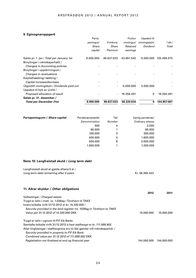# **9. Eginognaruppgerð**

|                                                                            | Parta-           |            | Fluttur      | Uppskot til              |                        |
|----------------------------------------------------------------------------|------------------|------------|--------------|--------------------------|------------------------|
|                                                                            | peningur/        | Yvirkurs/  |              | vinningur/ vinningsbýti/ | $i$ alt /              |
|                                                                            | Share            | Share      | Retained     | <b>Dividend</b>          | Total                  |
|                                                                            | capital          | Premium    | earnings     |                          |                        |
| Saldo pr. 1. jan / Total per January 1st<br>Broytingar í roknskaparhátti / | 6.000.000        | 80.637.033 | 43.861.542   |                          | -5.000.000 125.498.575 |
| Changes in Accounting policies<br>Broytingar í uppskrivingum /             |                  |            |              |                          |                        |
| Changes in revaluations                                                    |                  |            |              |                          |                        |
| Kapitalhækking/-lækking/                                                   |                  |            |              |                          |                        |
| Capital increase/decrease                                                  |                  |            |              |                          |                        |
| Útgoldið vinningsbýti / Dividends paid out                                 |                  |            | $-5.000.000$ | 5.000.000                |                        |
| Uppskot til býti av úrsliti /                                              |                  |            |              |                          |                        |
| Proposed allocation of result                                              |                  |            | 19.358.491   | 0                        | 19.358.491             |
| Saldo pr. 31. desember /                                                   |                  |            |              |                          |                        |
| <b>Total per December 31st</b>                                             | 6.000.000        | 80.637.033 | 58.220.034   | 0                        | 144.857.067            |
|                                                                            |                  |            |              |                          |                        |
| Partapeningurin / Share capital                                            | Partabrævastødd/ | Tal/       |              | Vanlig partabrøv/        |                        |
|                                                                            | Denominiation    | Number     |              | Ordinary shares          |                        |
|                                                                            | 500              | 4          |              | 2.000                    |                        |
|                                                                            | 98.000           | 1          |              | 98.000                   |                        |
|                                                                            | 100.000          | 3          |              | 300.000                  |                        |
|                                                                            | 400.000          | 4          |              | 1.600.000                |                        |
|                                                                            | 500.000          | 6<br>1     |              | 3.000.000<br>1.000.000   |                        |
|                                                                            | 1.000.000        |            |              |                          |                        |
| Nota 10: Langfreistað skuld / Long term debt                               |                  |            |              |                          |                        |
| Langfreistað skuld at gjalda aftaná 5 ár /                                 |                  |            |              |                          |                        |
| Long term debt remaining after 5 years                                     |                  |            |              | Kr. 56.385.443           |                        |
|                                                                            |                  |            |              |                          |                        |
| 11. Aðrar skyldur / Other obligations                                      |                  |            |              |                          |                        |
|                                                                            |                  |            |              | 2012                     | 2011                   |
| Veðsetingar / Charged assets                                               |                  |            |              |                          |                        |
| Trygd er latin í matr. nr. 1.038ag í Tórshavn til TAKS                     |                  |            |              |                          |                        |
| hvørs bókaða virði 31/12-2012 er kr. 14.320.000 /                          |                  |            |              |                          |                        |
| Security provided in the land register no. 1038ag in Tórshavn to TAKS      |                  |            |              |                          |                        |
| Value per 31.12.2012 of 14.320.000 DKK                                     |                  |            |              | 15.000.000               | 15.000.000             |
| Trygd er latin í ognum til P/F Eik Banki.                                  |                  |            |              |                          |                        |
| Samlaða bókaða virði 31/12-2012 á hesi støðisogn er kr. 111.088.902        |                  |            |              |                          |                        |
| Allar tinglýsingar í støðisognina eru tó ikki gjørdar við roknskaparlok. / |                  |            |              |                          |                        |
| Security provided in property to P/F Eik Bank                              |                  |            |              |                          |                        |
| Combined value per 31.12.2012 of 111.088.902 DKK                           |                  |            |              |                          |                        |
| Registration not finalised at end og financial year                        |                  |            |              | 144.000.000              | 144.000.000            |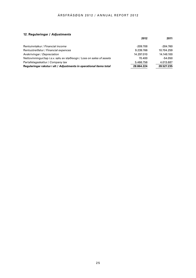## **12. Reguleringar /** *Adjustments*

|                                                                       | 2012       | 2011       |
|-----------------------------------------------------------------------|------------|------------|
|                                                                       |            |            |
| Rentuinntøkur / Financial income                                      | $-209.708$ | $-284.760$ |
| Rentuútreiðslur / Financial expences                                  | 9.239.766  | 10.704.259 |
| Avskrivingar / Depreciation                                           | 14.297.010 | 14.148.100 |
| Nettovinningur/tap i.s.v. sølu av støðisogn / Loss on sales of assets | 70.400     | $-54.050$  |
| Partafelagsskattur / Company tax                                      | 5.466.756  | 4.013.687  |
| Reguleringar rakstur i alt / Adjustments in operational items total   | 28.864.224 | 28.527.235 |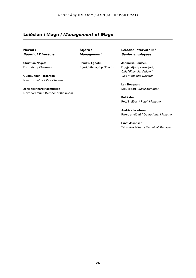# Leiðslan í Magn / *Management of Magn*

Nevnd / *Board of Directors* 

**Christian Nagata** Formaður / *Chairman*

**Guðmundur Þórðarson**  Næstformaður / *Vice Chairman*

**Jens Meinhard Rasmussen** Nevndarlimur / *Member of the Board*  Stjórn / *Management*

**Hendrik Egholm**  Stjóri / *Managing Director* Leiðandi starvsfólk / *Senior employees* 

**Johnni M. Poulsen** Fíggjarstjóri / varastjóri / *Chief Financial Officer* / *Vice Managing Director* 

**Leif Hovgaard** Søluleiðari / *Sales Manager*

**Rói Kalsø** Retail leiðari / *Retail Manager*

**Andrias Jacobsen** Rakstrarleiðari / *Operational Manager*

**Ernst Jacobsen** Tekniskur leiðari / *Technical Manager*